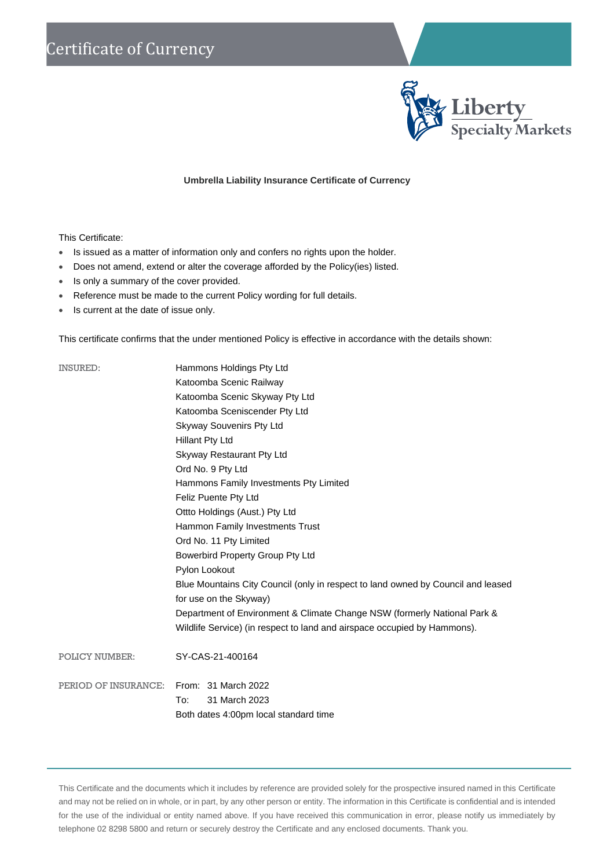

## **Umbrella Liability Insurance Certificate of Currency**

## This Certificate:

- Is issued as a matter of information only and confers no rights upon the holder.
- Does not amend, extend or alter the coverage afforded by the Policy(ies) listed.
- Is only a summary of the cover provided.
- Reference must be made to the current Policy wording for full details.
- Is current at the date of issue only.

This certificate confirms that the under mentioned Policy is effective in accordance with the details shown:

| <b>INSURED:</b>                          | Hammons Holdings Pty Ltd                                                                                   |
|------------------------------------------|------------------------------------------------------------------------------------------------------------|
|                                          | Katoomba Scenic Railway                                                                                    |
|                                          | Katoomba Scenic Skyway Pty Ltd                                                                             |
|                                          | Katoomba Sceniscender Pty Ltd                                                                              |
|                                          | Skyway Souvenirs Pty Ltd                                                                                   |
|                                          | <b>Hillant Pty Ltd</b>                                                                                     |
|                                          | Skyway Restaurant Pty Ltd                                                                                  |
|                                          | Ord No. 9 Pty Ltd                                                                                          |
|                                          | Hammons Family Investments Pty Limited                                                                     |
|                                          | Feliz Puente Pty Ltd                                                                                       |
|                                          | Ottto Holdings (Aust.) Pty Ltd                                                                             |
|                                          | Hammon Family Investments Trust                                                                            |
|                                          | Ord No. 11 Pty Limited                                                                                     |
|                                          | Bowerbird Property Group Pty Ltd                                                                           |
|                                          | Pylon Lookout                                                                                              |
|                                          | Blue Mountains City Council (only in respect to land owned by Council and leased<br>for use on the Skyway) |
|                                          | Department of Environment & Climate Change NSW (formerly National Park &                                   |
|                                          | Wildlife Service) (in respect to land and airspace occupied by Hammons).                                   |
| POLICY NUMBER:                           | SY-CAS-21-400164                                                                                           |
| PERIOD OF INSURANCE: From: 31 March 2022 |                                                                                                            |
|                                          | 31 March 2023<br>To:                                                                                       |
|                                          | Both dates 4:00pm local standard time                                                                      |

This Certificate and the documents which it includes by reference are provided solely for the prospective insured named in this Certificate and may not be relied on in whole, or in part, by any other person or entity. The information in this Certificate is confidential and is intended for the use of the individual or entity named above. If you have received this communication in error, please notify us immediately by telephone 02 8298 5800 and return or securely destroy the Certificate and any enclosed documents. Thank you.